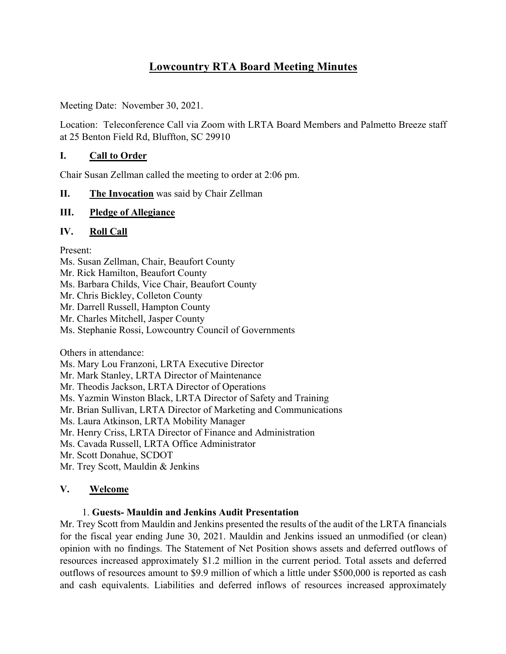# **Lowcountry RTA Board Meeting Minutes**

Meeting Date: November 30, 2021.

Location: Teleconference Call via Zoom with LRTA Board Members and Palmetto Breeze staff at 25 Benton Field Rd, Bluffton, SC 29910

# **I. Call to Order**

Chair Susan Zellman called the meeting to order at 2:06 pm.

## **II. The Invocation** was said by Chair Zellman

## **III. Pledge of Allegiance**

## **IV. Roll Call**

Present:

Ms. Susan Zellman, Chair, Beaufort County Mr. Rick Hamilton, Beaufort County Ms. Barbara Childs, Vice Chair, Beaufort County Mr. Chris Bickley, Colleton County Mr. Darrell Russell, Hampton County Mr. Charles Mitchell, Jasper County Ms. Stephanie Rossi, Lowcountry Council of Governments

Others in attendance:

Ms. Mary Lou Franzoni, LRTA Executive Director

Mr. Mark Stanley, LRTA Director of Maintenance

Mr. Theodis Jackson, LRTA Director of Operations

Ms. Yazmin Winston Black, LRTA Director of Safety and Training

Mr. Brian Sullivan, LRTA Director of Marketing and Communications

Ms. Laura Atkinson, LRTA Mobility Manager

Mr. Henry Criss, LRTA Director of Finance and Administration

Ms. Cavada Russell, LRTA Office Administrator

Mr. Scott Donahue, SCDOT

Mr. Trey Scott, Mauldin & Jenkins

# **V. Welcome**

# 1. **Guests- Mauldin and Jenkins Audit Presentation**

Mr. Trey Scott from Mauldin and Jenkins presented the results of the audit of the LRTA financials for the fiscal year ending June 30, 2021. Mauldin and Jenkins issued an unmodified (or clean) opinion with no findings. The Statement of Net Position shows assets and deferred outflows of resources increased approximately \$1.2 million in the current period. Total assets and deferred outflows of resources amount to \$9.9 million of which a little under \$500,000 is reported as cash and cash equivalents. Liabilities and deferred inflows of resources increased approximately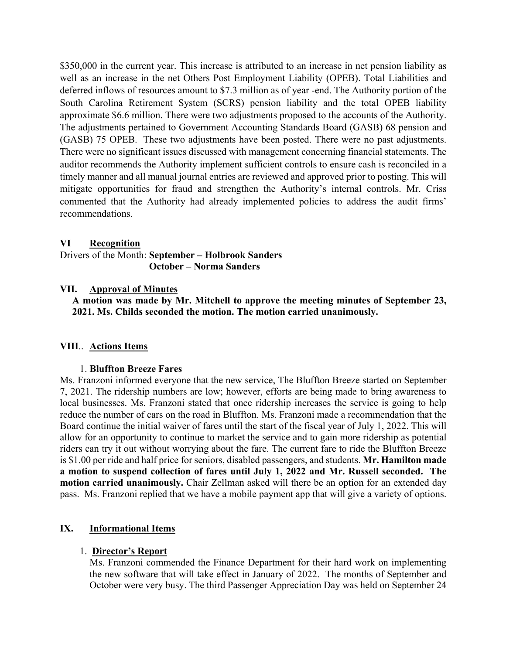\$350,000 in the current year. This increase is attributed to an increase in net pension liability as well as an increase in the net Others Post Employment Liability (OPEB). Total Liabilities and deferred inflows of resources amount to \$7.3 million as of year -end. The Authority portion of the South Carolina Retirement System (SCRS) pension liability and the total OPEB liability approximate \$6.6 million. There were two adjustments proposed to the accounts of the Authority. The adjustments pertained to Government Accounting Standards Board (GASB) 68 pension and (GASB) 75 OPEB. These two adjustments have been posted. There were no past adjustments. There were no significant issues discussed with management concerning financial statements. The auditor recommends the Authority implement sufficient controls to ensure cash is reconciled in a timely manner and all manual journal entries are reviewed and approved prior to posting. This will mitigate opportunities for fraud and strengthen the Authority's internal controls. Mr. Criss commented that the Authority had already implemented policies to address the audit firms' recommendations.

#### **VI Recognition**

Drivers of the Month: **September – Holbrook Sanders October – Norma Sanders**

#### **VII. Approval of Minutes**

**A motion was made by Mr. Mitchell to approve the meeting minutes of September 23, 2021. Ms. Childs seconded the motion. The motion carried unanimously.**

#### **VIII**.. **Actions Items**

#### 1. **Bluffton Breeze Fares**

Ms. Franzoni informed everyone that the new service, The Bluffton Breeze started on September 7, 2021. The ridership numbers are low; however, efforts are being made to bring awareness to local businesses. Ms. Franzoni stated that once ridership increases the service is going to help reduce the number of cars on the road in Bluffton. Ms. Franzoni made a recommendation that the Board continue the initial waiver of fares until the start of the fiscal year of July 1, 2022. This will allow for an opportunity to continue to market the service and to gain more ridership as potential riders can try it out without worrying about the fare. The current fare to ride the Bluffton Breeze is \$1.00 per ride and half price for seniors, disabled passengers, and students. **Mr. Hamilton made a motion to suspend collection of fares until July 1, 2022 and Mr. Russell seconded. The motion carried unanimously.** Chair Zellman asked will there be an option for an extended day pass. Ms. Franzoni replied that we have a mobile payment app that will give a variety of options.

#### **IX. Informational Items**

#### 1. **Director's Report**

Ms. Franzoni commended the Finance Department for their hard work on implementing the new software that will take effect in January of 2022. The months of September and October were very busy. The third Passenger Appreciation Day was held on September 24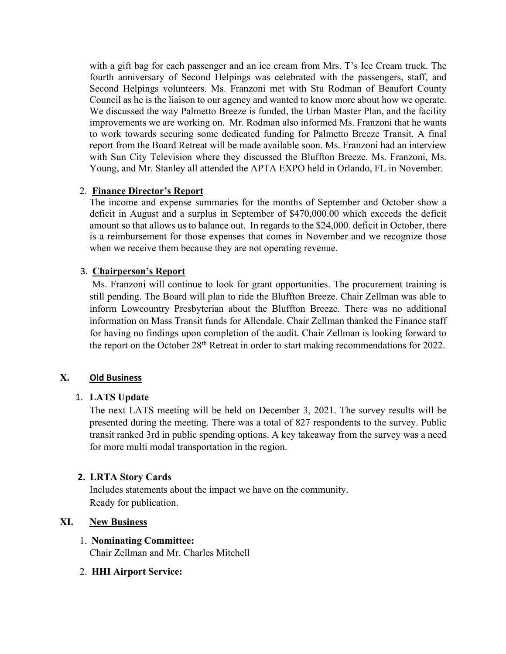with a gift bag for each passenger and an ice cream from Mrs. T's Ice Cream truck. The fourth anniversary of Second Helpings was celebrated with the passengers, staff, and Second Helpings volunteers. Ms. Franzoni met with Stu Rodman of Beaufort County Council as he is the liaison to our agency and wanted to know more about how we operate. We discussed the way Palmetto Breeze is funded, the Urban Master Plan, and the facility improvements we are working on. Mr. Rodman also informed Ms. Franzoni that he wants to work towards securing some dedicated funding for Palmetto Breeze Transit. A final report from the Board Retreat will be made available soon. Ms. Franzoni had an interview with Sun City Television where they discussed the Bluffton Breeze. Ms. Franzoni, Ms. Young, and Mr. Stanley all attended the APTA EXPO held in Orlando, FL in November.

## 2. **Finance Director's Report**

The income and expense summaries for the months of September and October show a deficit in August and a surplus in September of \$470,000.00 which exceeds the deficit amount so that allows us to balance out. In regards to the \$24,000. deficit in October, there is a reimbursement for those expenses that comes in November and we recognize those when we receive them because they are not operating revenue.

# 3. **Chairperson's Report**

Ms. Franzoni will continue to look for grant opportunities. The procurement training is still pending. The Board will plan to ride the Bluffton Breeze. Chair Zellman was able to inform Lowcountry Presbyterian about the Bluffton Breeze. There was no additional information on Mass Transit funds for Allendale. Chair Zellman thanked the Finance staff for having no findings upon completion of the audit. Chair Zellman is looking forward to the report on the October 28<sup>th</sup> Retreat in order to start making recommendations for 2022.

# **X. Old Business**

# 1. **LATS Update**

The next LATS meeting will be held on December 3, 2021. The survey results will be presented during the meeting. There was a total of 827 respondents to the survey. Public transit ranked 3rd in public spending options. A key takeaway from the survey was a need for more multi modal transportation in the region.

# **2. LRTA Story Cards**

Includes statements about the impact we have on the community. Ready for publication.

# **XI. New Business**

# 1. **Nominating Committee:**

Chair Zellman and Mr. Charles Mitchell

# 2. **HHI Airport Service:**